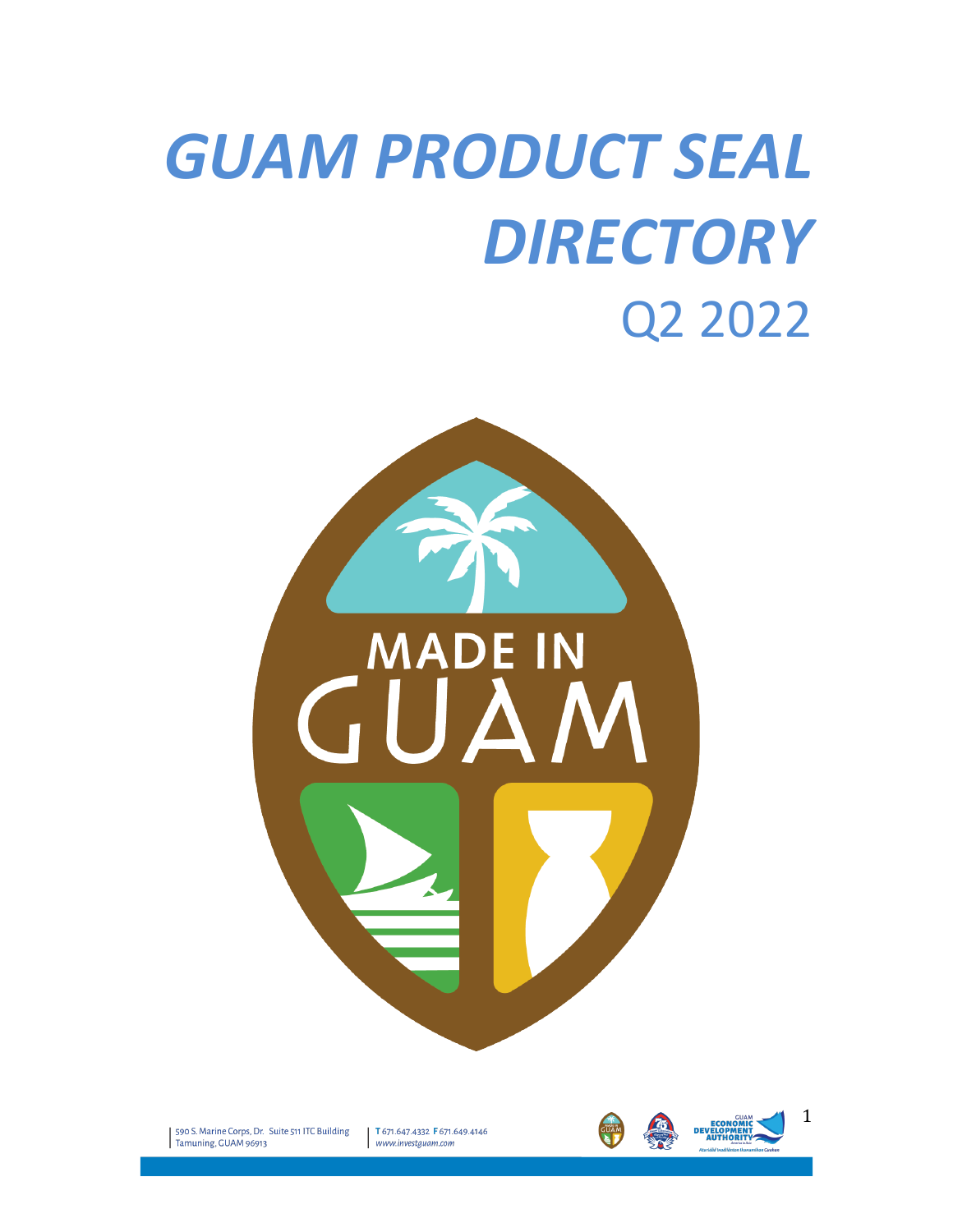# **GUAM PRODUCT SEAL** *DIRECTORY* Q2 2022



590 S. Marine Corps, Dr. Suite 511 ITC Building Tamuning, GUAM 96913

T 671.647.4332 F 671.649.4146  $www.investguam.com$ 





1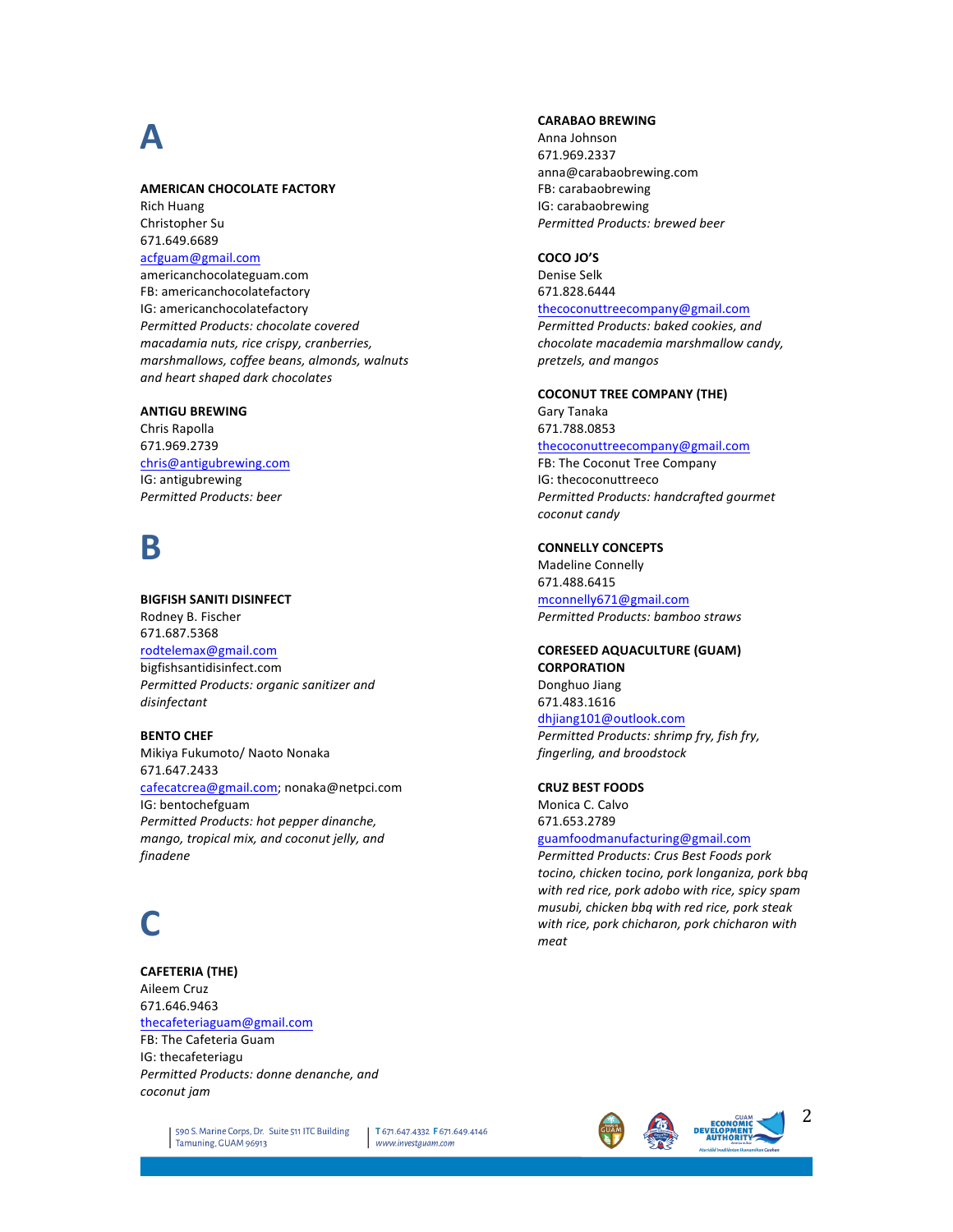## **A**

#### **AMERICAN CHOCOLATE FACTORY**

**Rich Huang** Christopher Su 671.649.6689 acfguam@gmail.com americanchocolateguam.com FB: americanchocolatefactory IG: americanchocolatefactory

*Permitted Products: chocolate covered macadamia nuts, rice crispy, cranberries, marshmallows, coffee beans, almonds, walnuts and heart shaped dark chocolates*

#### **ANTIGU BREWING**

Chris Rapolla 671.969.2739 chris@antigubrewing.com IG: antigubrewing *Permitted Products: beer*

### **B**

**BIGFISH SANITI DISINFECT** Rodney B. Fischer 671.687.5368

rodtelemax@gmail.com bigfishsantidisinfect.com **Permitted Products: organic sanitizer and** *disinfectant*

**BENTO CHEF** Mikiya Fukumoto/ Naoto Nonaka 671.647.2433 cafecatcrea@gmail.com; nonaka@netpci.com IG: bentochefguam **Permitted Products: hot pepper dinanche,** mango, tropical mix, and coconut jelly, and *finadene*

# **C**

**CAFETERIA (THE)** Aileem Cruz 671.646.9463 thecafeteriaguam@gmail.com FB: The Cafeteria Guam IG: thecafeteriagu **Permitted Products: donne denanche, and** *coconut jam*

#### **CARABAO BREWING**

Anna Johnson 671.969.2337 anna@carabaobrewing.com FB: carabaobrewing IG: carabaobrewing *Permitted Products: brewed beer*

#### **COCO JO'S**

Denise Selk 671.828.6444 thecoconuttreecompany@gmail.com **Permitted Products: baked cookies, and** 

*chocolate macademia marshmallow candy, pretzels, and mangos*

**COCONUT TREE COMPANY (THE)** Gary Tanaka

671.788.0853

thecoconuttreecompany@gmail.com

FB: The Coconut Tree Company IG: thecoconuttreeco **Permitted Products: handcrafted gourmet** *coconut candy*

#### **CONNELLY CONCEPTS**

Madeline Connelly 671.488.6415

mconnelly671@gmail.com *Permitted Products: bamboo straws*

#### **CORESEED AQUACULTURE (GUAM) CORPORATION**

Donghuo Jiang 671.483.1616 dhjiang101@outlook.com Permitted Products: shrimp fry, fish fry,

**CRUZ BEST FOODS**

Monica C. Calvo 671.653.2789 guamfoodmanufacturing@gmail.com

*fingerling, and broodstock*

*Permitted Products: Crus Best Foods pork tocino, chicken tocino, pork longaniza, pork bbq*  with red rice, pork adobo with rice, spicy spam *musubi, chicken bbq with red rice, pork steak*  with rice, pork chicharon, pork chicharon with *meat*

590 S. Marine Corps, Dr. Suite 511 ITC Building Tamuning, GUAM 96913

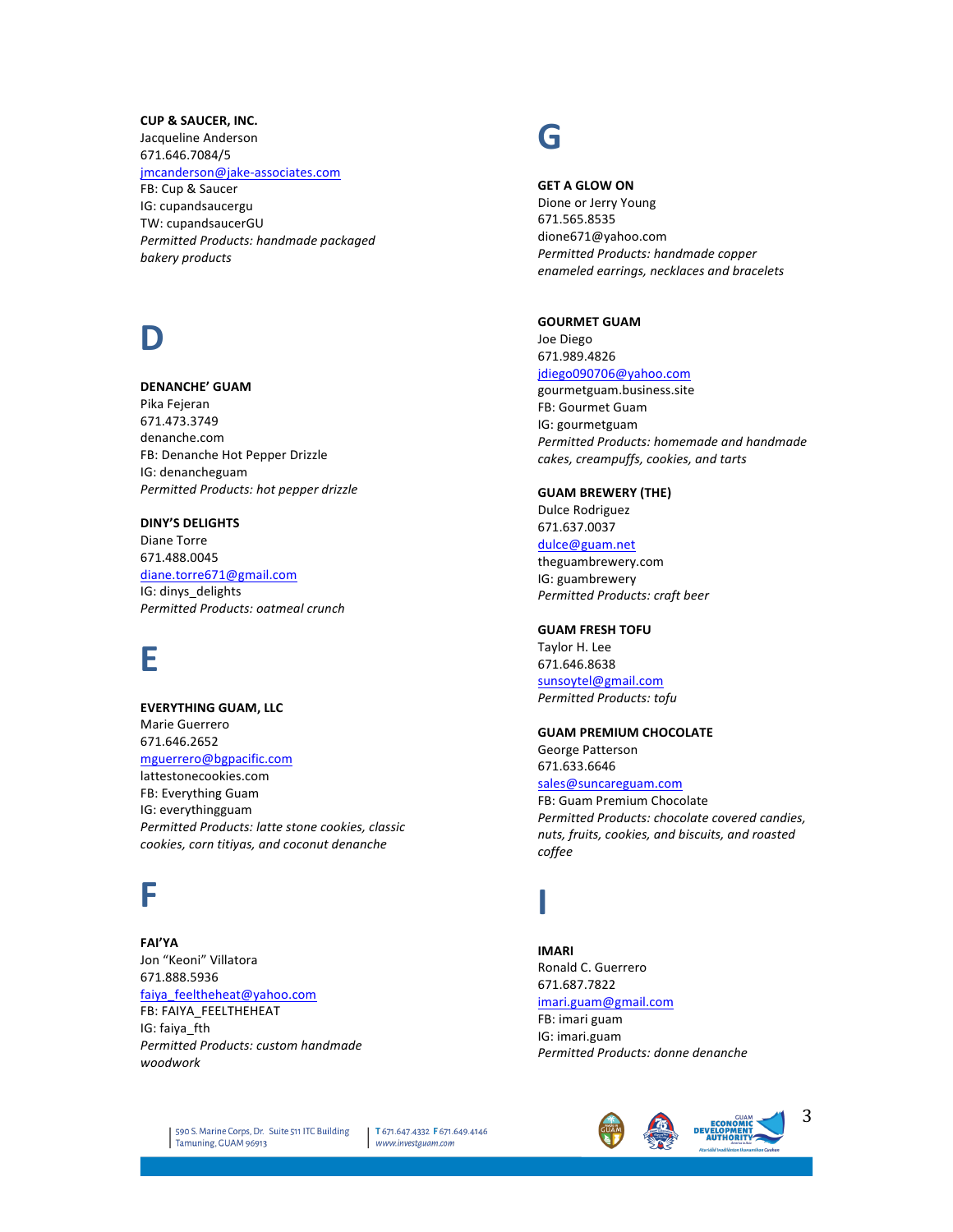#### **CUP & SAUCER, INC.**

Jacqueline Anderson 671.646.7084/5 jmcanderson@jake-associates.com FB: Cup & Saucer IG: cupandsaucergu TW: cupandsaucerGU **Permitted Products: handmade packaged** *bakery products*

# **D**

#### **DENANCHE' GUAM**

Pika Fejeran 671.473.3749 denanche.com FB: Denanche Hot Pepper Drizzle IG: denancheguam *Permitted Products: hot pepper drizzle*

#### **DINY'S DELIGHTS**

Diane Torre 671.488.0045 diane.torre671@gmail.com IG: dinys\_delights *Permitted Products: oatmeal crunch*

### **E**

**EVERYTHING GUAM, LLC** Marie Guerrero 671.646.2652 mguerrero@bgpacific.com lattestonecookies.com FB: Everything Guam IG: everythingguam Permitted Products: latte stone cookies, classic *cookies, corn titiyas, and coconut denanche*

### **F**

**FAI'YA** Jon "Keoni" Villatora 671.888.5936 faiya\_feeltheheat@yahoo.com FB: FAIYA\_FEELTHEHEAT IG: faiya\_fth *Permitted Products: custom handmade woodwork*

### **G**

#### **GET A GLOW ON**

Dione or Jerry Young 671.565.8535 dione671@yahoo.com *Permitted Products: handmade copper enameled earrings, necklaces and bracelets*

#### **GOURMET GUAM**

Joe Diego 671.989.4826 jdiego090706@yahoo.com gourmetguam.business.site FB: Gourmet Guam IG: gourmetguam **Permitted Products: homemade and handmade** *cakes, creampuffs, cookies, and tarts*

#### **GUAM BREWERY (THE)** Dulce Rodriguez 671.637.0037

dulce@guam.net theguambrewery.com IG: guambrewery

*Permitted Products: craft beer*

#### **GUAM FRESH TOFU**

Taylor H. Lee 671.646.8638 sunsoytel@gmail.com *Permitted Products: tofu*

#### **GUAM PREMIUM CHOCOLATE**

George Patterson 671.633.6646 sales@suncareguam.com FB: Guam Premium Chocolate

**Permitted Products: chocolate covered candies,** *nuts, fruits, cookies, and biscuits, and roasted coffee*

# **I**

**IMARI** Ronald C. Guerrero 671.687.7822 imari.guam@gmail.com FB: imari guam IG: imari.guam *Permitted Products: donne denanche*

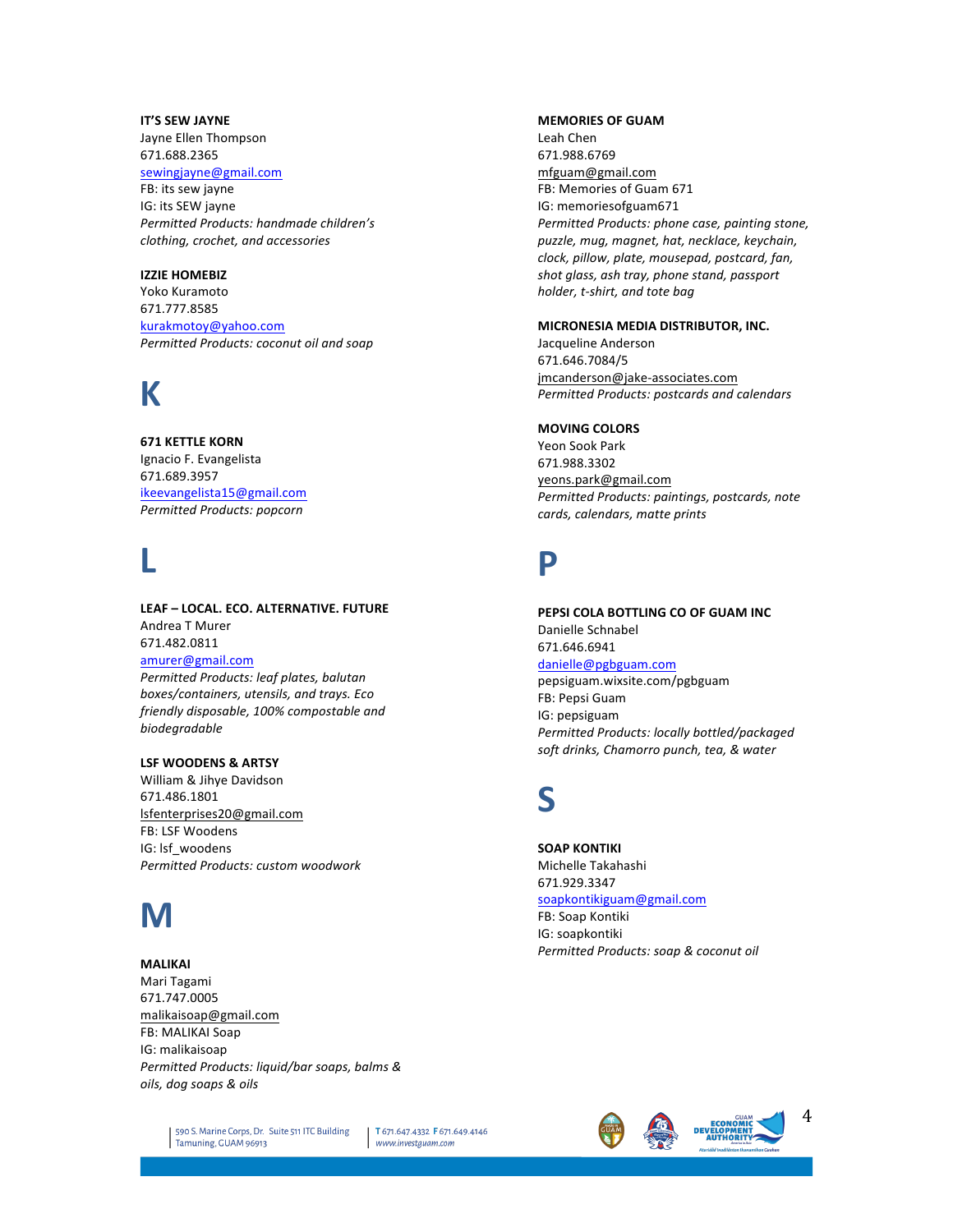#### **IT'S SEW JAYNE**

Jayne Ellen Thompson 671.688.2365 sewingjayne@gmail.com FB: its sew jayne IG: its SEW jayne *Permitted Products: handmade children's clothing, crochet, and accessories*

#### **IZZIE HOMEBIZ**

Yoko Kuramoto 671.777.8585 kurakmotoy@yahoo.com **Permitted Products: coconut oil and soap** 

### **K**

#### **671 KETTLE KORN**

Ignacio F. Evangelista 671.689.3957 ikeevangelista15@gmail.com *Permitted Products: popcorn*

# **L**

**LEAF – LOCAL. ECO. ALTERNATIVE. FUTURE** Andrea T Murer 671.482.0811 amurer@gmail.com **Permitted Products: leaf plates, balutan** *boxes/containers, utensils, and trays. Eco friendly disposable, 100% compostable and biodegradable*

#### **LSF WOODENS & ARTSY**

William & Jihye Davidson 671.486.1801 lsfenterprises20@gmail.com FB: LSF Woodens IG: Isf\_woodens *Permitted Products: custom woodwork*

# **M**

#### **MALIKAI**

Mari Tagami 671.747.0005 malikaisoap@gmail.com FB: MALIKAI Soap IG: malikaisoap *Permitted Products: liquid/bar soaps, balms & oils, dog soaps & oils*

#### **MEMORIES OF GUAM**

Leah Chen 671.988.6769 mfguam@gmail.com FB: Memories of Guam 671 IG: memoriesofguam671 *Permitted Products: phone case, painting stone, puzzle, mug, magnet, hat, necklace, keychain, clock, pillow, plate, mousepad, postcard, fan,*  shot glass, ash tray, phone stand, passport *holder, t-shirt, and tote bag*

#### **MICRONESIA MEDIA DISTRIBUTOR, INC.**

Jacqueline Anderson 671.646.7084/5 jmcanderson@jake-associates.com *Permitted Products: postcards and calendars*

#### **MOVING COLORS**

Yeon Sook Park 671.988.3302 yeons.park@gmail.com Permitted Products: paintings, postcards, note *cards, calendars, matte prints*

### **P**

**PEPSI COLA BOTTLING CO OF GUAM INC** Danielle Schnabel 671.646.6941 danielle@pgbguam.com pepsiguam.wixsite.com/pgbguam FB: Pepsi Guam IG: pepsiguam *Permitted Products: locally bottled/packaged*  soft drinks, Chamorro punch, tea, & water

### **S**

**SOAP KONTIKI** Michelle Takahashi 671.929.3347 soapkontikiguam@gmail.com FB: Soap Kontiki IG: soapkontiki *Permitted Products: soap & coconut oil*

590 S. Marine Corps, Dr. Suite 511 ITC Building Tamuning, GUAM 96913

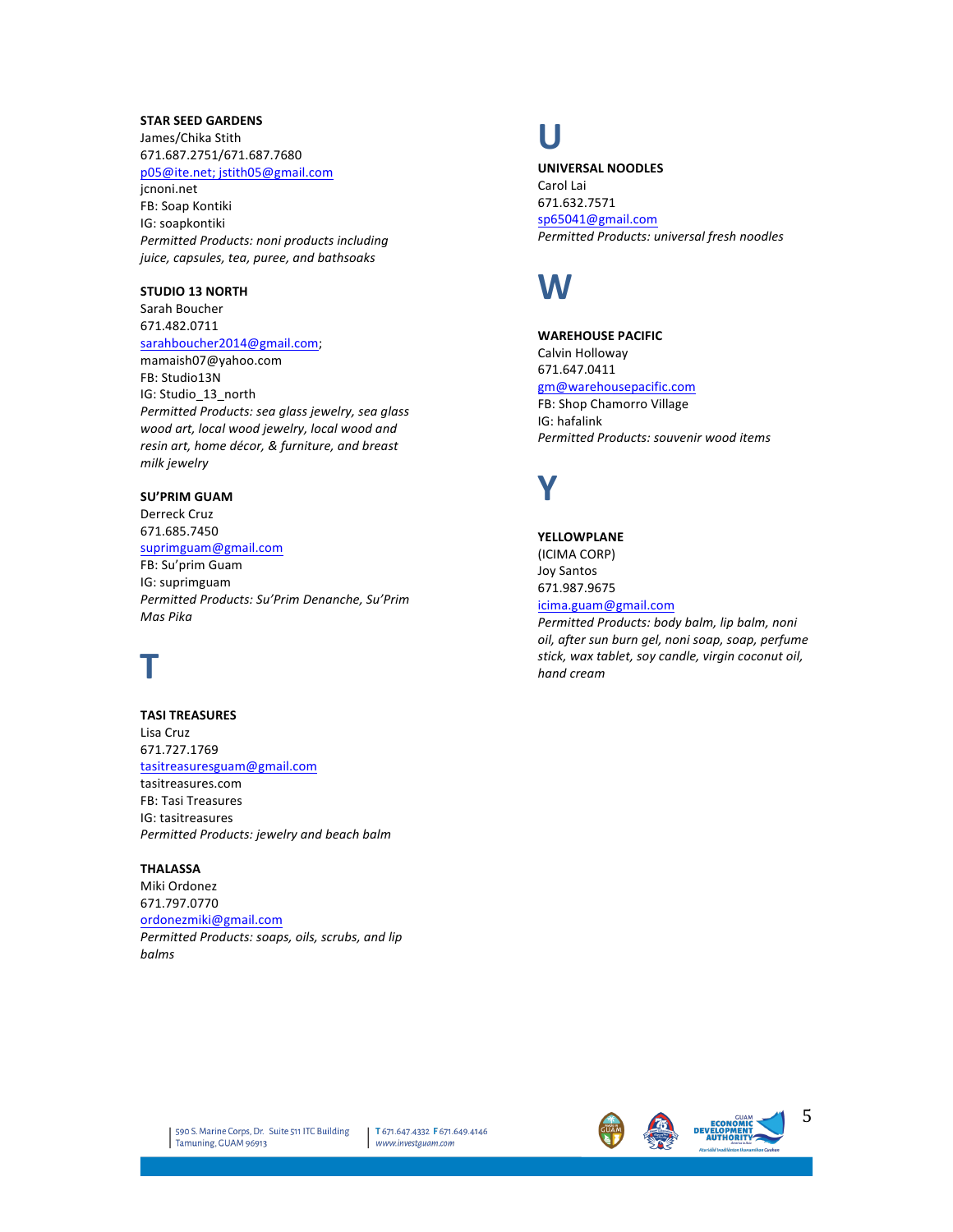#### **STAR SEED GARDENS**

James/Chika Stith 671.687.2751/671.687.7680 p05@ite.net; jstith05@gmail.com

jcnoni.net FB: Soap Kontiki IG: soapkontiki **Permitted Products: noni products including** *juice, capsules, tea, puree, and bathsoaks*

#### **STUDIO 13 NORTH**

Sarah Boucher 671.482.0711

#### sarahboucher2014@gmail.com;

mamaish07@yahoo.com FB: Studio13N IG: Studio\_13\_north *Permitted Products: sea glass jewelry, sea glass*  wood art, local wood jewelry, local wood and resin art, home décor, & furniture, and breast *milk jewelry*

#### **SU'PRIM GUAM**

Derreck Cruz 671.685.7450

#### suprimguam@gmail.com

FB: Su'prim Guam IG: suprimguam *Permitted Products: Su'Prim Denanche, Su'Prim Mas Pika*

# **T**

**TASI TREASURES** Lisa Cruz 671.727.1769 tasitreasuresguam@gmail.com tasitreasures.com FB: Tasi Treasures IG: tasitreasures *Permitted Products: jewelry and beach balm*

#### **THALASSA**

Miki Ordonez 671.797.0770 ordonezmiki@gmail.com Permitted Products: soaps, oils, scrubs, and lip *balms*

### **U**

**UNIVERSAL NOODLES**

Carol Lai 671.632.7571 sp65041@gmail.com *Permitted Products: universal fresh noodles*

### **W**

**WAREHOUSE PACIFIC** Calvin Holloway 671.647.0411 gm@warehousepacific.com FB: Shop Chamorro Village IG: hafalink *Permitted Products: souvenir wood items*

# **Y**

**YELLOWPLANE** (ICIMA CORP) Joy Santos 671.987.9675 icima.guam@gmail.com

Permitted Products: body balm, lip balm, noni *oil, after sun burn gel, noni soap, soap, perfume*  stick, wax tablet, soy candle, virgin coconut oil, *hand cream*

T 671.647.4332 F 671.649.4146 www.investguam.com





5